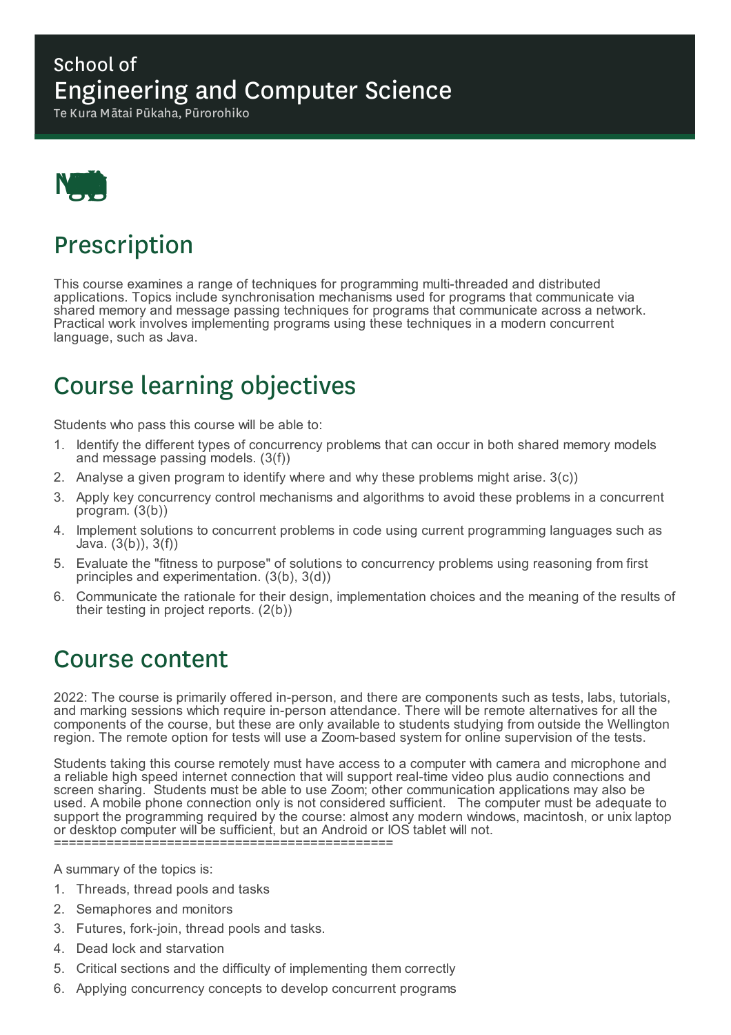### School of Engineering and Computer Science

Te Kura Mātai Pūkaha, Pūrorohiko



# Prescription

This course examines a range of techniques for programming multi-threaded and distributed applications. Topics include synchronisation mechanisms used for programs that communicate via shared memory and message passing techniques for programs that communicate across a network. Practical work involves implementing programs using these techniques in a modern concurrent language, such as Java.

# Course learning objectives

Students who pass this course will be able to:

- 1. Identify the different types of concurrency problems that can occur in both shared memory models and message passing models. (3(f))
- 2. Analyse a given program to identify where and why these problems might arise. 3(c))
- 3. Apply key concurrency control mechanisms and algorithms to avoid these problems in a concurrent program. (3(b))
- 4. Implement solutions to concurrent problems in code using current programming languages such as Java. (3(b)), 3(f))
- 5. Evaluate the "fitness to purpose" of solutions to concurrency problems using reasoning from first principles and experimentation. (3(b), 3(d))
- 6. Communicate the rationale for their design, implementation choices and the meaning of the results of their testing in project reports. (2(b))

### Course content

2022: The course is primarily offered in-person, and there are components such as tests, labs, tutorials, and marking sessions which require in-person attendance. There will be remote alternatives for all the components of the course, but these are only available to students studying from outside the Wellington region. The remote option for tests will use a Zoom-based system for online supervision of the tests.

Students taking this course remotely must have access to a computer with camera and microphone and a reliable high speed internet connection that will support real-time video plus audio connections and screen sharing. Students must be able to use Zoom; other communication applications may also be used. A mobile phone connection only is not considered sufficient. The computer must be adequate to support the programming required by the course: almost any modern windows, macintosh, or unix laptop or desktop computer will be sufficient, but an Android or IOS tablet will not. =============================================

A summary of the topics is:

- 1. Threads, thread pools and tasks
- 2. Semaphores and monitors
- 3. Futures, fork-join, thread pools and tasks.
- 4. Dead lock and starvation
- 5. Critical sections and the difficulty of implementing them correctly
- 6. Applying concurrency concepts to develop concurrent programs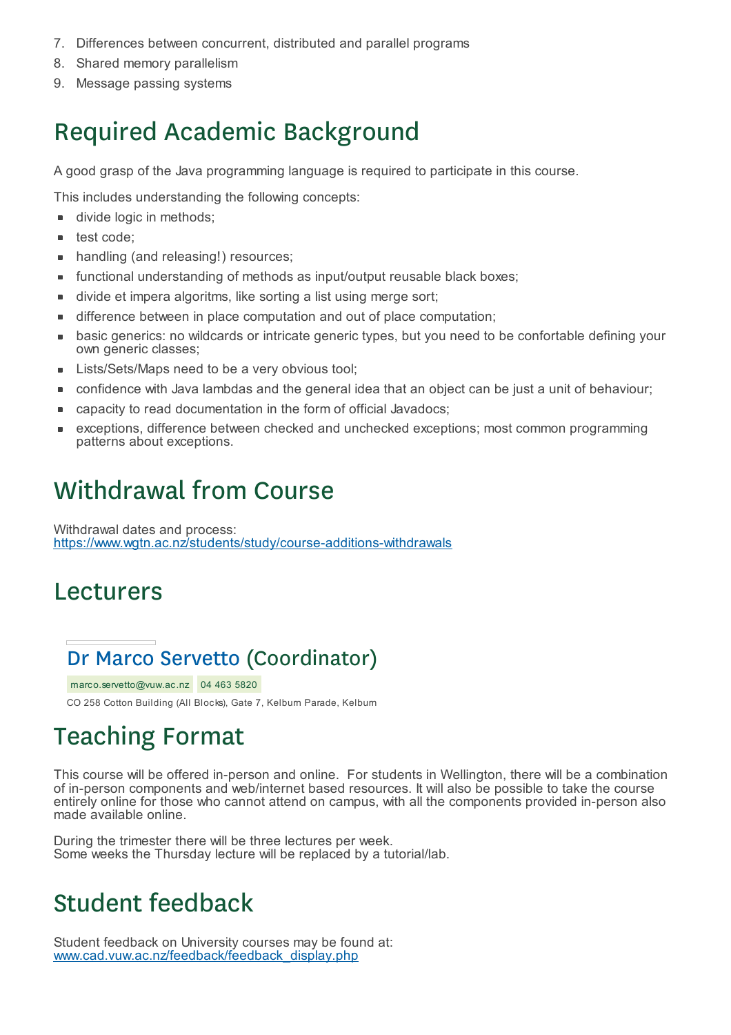- 7. Differences between concurrent, distributed and parallel programs
- 8. Shared memory parallelism
- 9. Message passing systems

# Required Academic Background

A good grasp of the Java programming language is required to participate in this course.

This includes understanding the following concepts:

- divide logic in methods;  $\blacksquare$
- test code; É
- handling (and releasing!) resources;  $\blacksquare$
- functional understanding of methods as input/output reusable black boxes;  $\blacksquare$
- divide et impera algoritms, like sorting a list using merge sort;
- difference between in place computation and out of place computation; Ē
- basic generics: no wildcards or intricate generic types, but you need to be confortable defining your п own generic classes;
- Lists/Sets/Maps need to be a very obvious tool;
- confidence with Java lambdas and the general idea that an object can be just a unit of behaviour;
- capacity to read documentation in the form of official Javadocs; ×
- exceptions, difference between checked and unchecked exceptions; most common programming × patterns about exceptions.

# Withdrawal from Course

Withdrawal dates and process: https://www.wgtn.ac.nz/students/study/course-additions-withdrawals

### Lecturers

## Dr Marco Servetto (Coordinator)

marco.servetto@vuw.ac.nz 04 463 5820 CO 258 Cotton Building (All Blocks), Gate 7, Kelburn Parade, Kelburn

# Teaching Format

This course will be offered in-person and online. For students in Wellington, there will be a combination of in-person components and web/internet based resources. It will also be possible to take the course entirely online for those who cannot attend on campus, with all the components provided in-person also made available online.

During the trimester there will be three lectures per week. Some weeks the Thursday lecture will be replaced by a tutorial/lab.

# Student feedback

Student feedback on University courses may be found at: www.cad.vuw.ac.nz/feedback/feedback\_display.php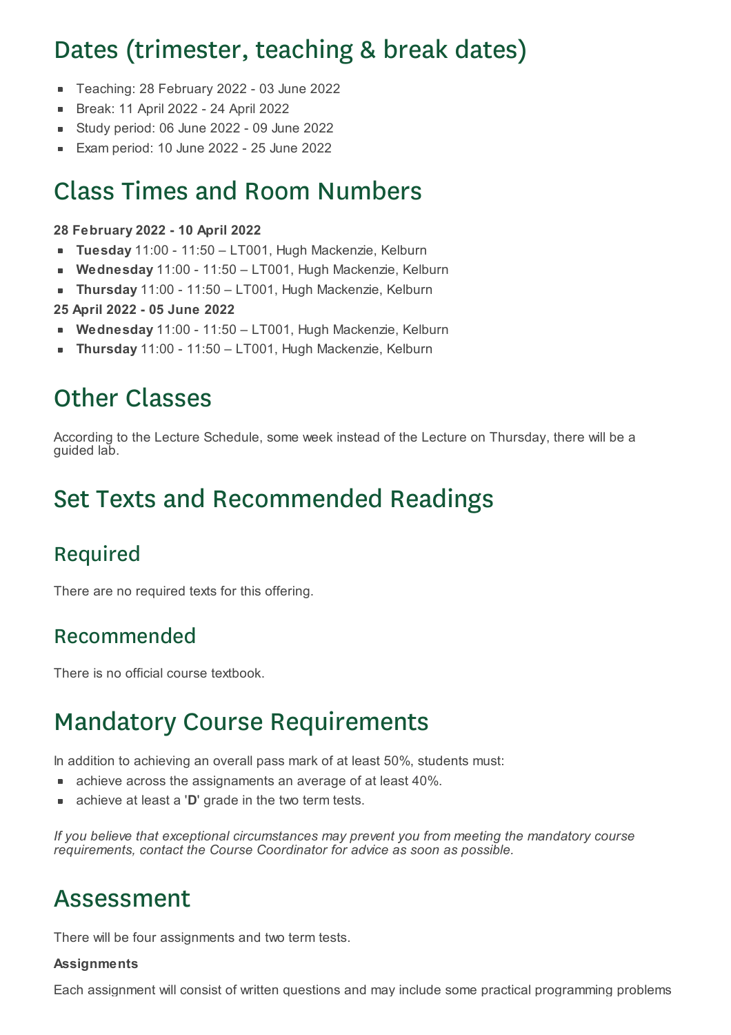# Dates (trimester, teaching & break dates)

- Teaching: 28 February 2022 03 June 2022
- Break: 11 April 2022 24 April 2022  $\blacksquare$
- Study period: 06 June 2022 09 June 2022  $\blacksquare$
- Exam period: 10 June 2022 25 June 2022

## Class Times and Room Numbers

#### **28 February 2022 - 10 April 2022**

- **Tuesday** 11:00 11:50 LT001, Hugh Mackenzie, Kelburn  $\blacksquare$
- **Wednesday** 11:00 11:50 LT001, Hugh Mackenzie, Kelburn  $\blacksquare$
- **Thursday** 11:00 11:50 LT001, Hugh Mackenzie, Kelburn  $\blacksquare$
- **25 April 2022 - 05 June 2022**
- **Wednesday** 11:00 11:50 LT001, Hugh Mackenzie, Kelburn
- **Thursday** 11:00 11:50 LT001, Hugh Mackenzie, Kelburn

## Other Classes

According to the Lecture Schedule, some week instead of the Lecture on Thursday, there will be a guided lab.

## Set Texts and Recommended Readings

### Required

There are no required texts for this offering.

#### Recommended

There is no official course textbook.

## Mandatory Course Requirements

In addition to achieving an overall pass mark of at least 50%, students must:

- achieve across the assignaments an average of at least 40%.
- achieve at least a '**D**' grade in the two term tests.

*If you believe that exceptional circumstances may prevent you from meeting the mandatory course requirements, contact the Course Coordinator for advice as soon as possible.*

### Assessment

There will be four assignments and two term tests.

#### **Assignments**

Each assignment will consist of written questions and may include some practical programming problems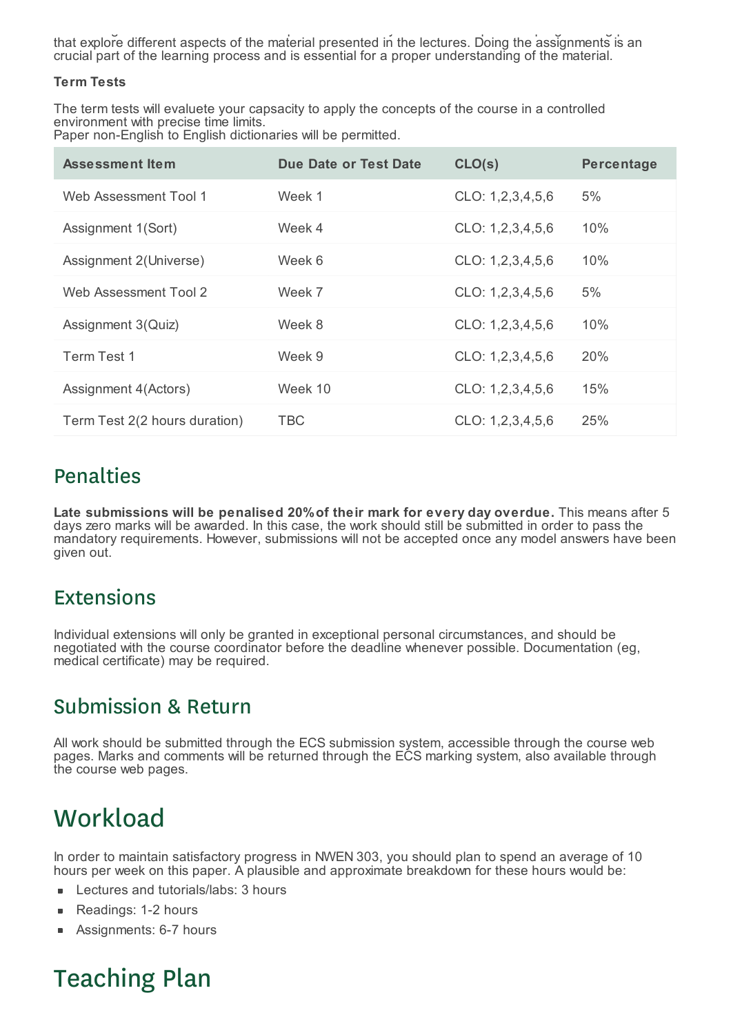Each assignment will consist of written questions and may include some practical programming problems that explore different aspects of the material presented in the lectures. Doing the assignments is an crucial part of the learning process and is essential for a proper understanding of the material.

#### **Term Tests**

The term tests will evaluete your capsacity to apply the concepts of the course in a controlled environment with precise time limits. Paper non-English to English dictionaries will be permitted.

| <b>Assessment Item</b>        | Due Date or Test Date | CLO(s)           | <b>Percentage</b> |
|-------------------------------|-----------------------|------------------|-------------------|
| Web Assessment Tool 1         | Week 1                | CLO: 1,2,3,4,5,6 | 5%                |
| Assignment 1(Sort)            | Week 4                | CLO: 1,2,3,4,5,6 | 10%               |
| Assignment 2(Universe)        | Week 6                | CLO: 1,2,3,4,5,6 | 10%               |
| Web Assessment Tool 2         | Week 7                | CLO: 1,2,3,4,5,6 | 5%                |
| Assignment 3(Quiz)            | Week 8                | CLO: 1,2,3,4,5,6 | 10%               |
| Term Test 1                   | Week 9                | CLO: 1,2,3,4,5,6 | 20%               |
| Assignment 4(Actors)          | Week 10               | CLO: 1,2,3,4,5,6 | 15%               |
| Term Test 2(2 hours duration) | <b>TBC</b>            | CLO: 1,2,3,4,5,6 | 25%               |

#### Penalties

**Late submissions will be penalised 20%of their mark for every day overdue.** This means after 5 days zero marks will be awarded. In this case, the work should still be submitted in order to pass the mandatory requirements. However, submissions will not be accepted once any model answers have been given out.

#### Extensions

Individual extensions will only be granted in exceptional personal circumstances, and should be negotiated with the course coordinator before the deadline whenever possible. Documentation (eg, medical certificate) may be required.

#### Submission & Return

All work should be submitted through the ECS submission system, accessible through the course web pages. Marks and comments will be returned through the ECS marking system, also available through the course web pages.

## **Workload**

In order to maintain satisfactory progress in NWEN 303, you should plan to spend an average of 10 hours per week on this paper. A plausible and approximate breakdown for these hours would be:

- Lectures and tutorials/labs: 3 hours  $\blacksquare$
- Readings: 1-2 hours É
- Assignments: 6-7 hours  $\blacksquare$

## Teaching Plan